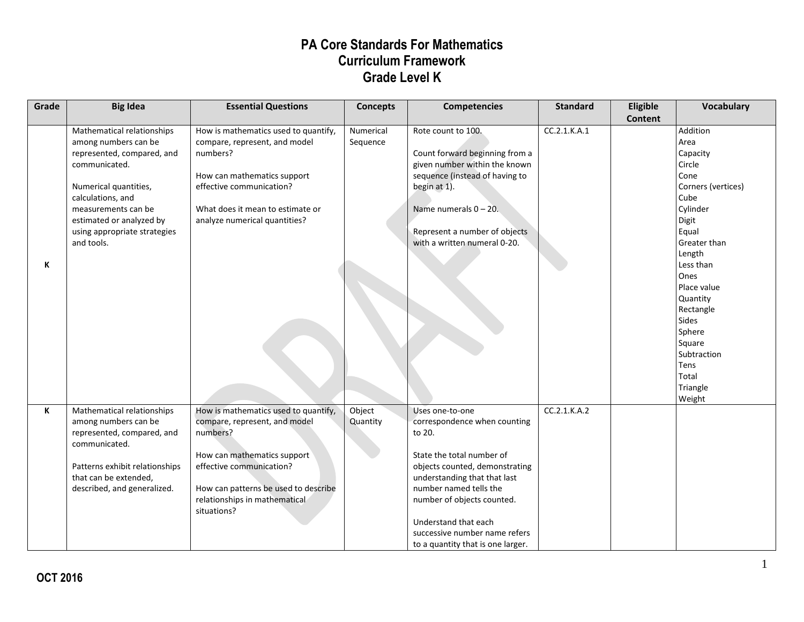| Grade | <b>Big Idea</b>                                                                                                                                                                                                                                  | <b>Essential Questions</b>                                                                                                                                                                                                           | <b>Concepts</b>       | <b>Competencies</b>                                                                                                                                                                                                                                                                                            | <b>Standard</b> | Eligible       | Vocabulary                                                                                                                                                                                                                                                                           |
|-------|--------------------------------------------------------------------------------------------------------------------------------------------------------------------------------------------------------------------------------------------------|--------------------------------------------------------------------------------------------------------------------------------------------------------------------------------------------------------------------------------------|-----------------------|----------------------------------------------------------------------------------------------------------------------------------------------------------------------------------------------------------------------------------------------------------------------------------------------------------------|-----------------|----------------|--------------------------------------------------------------------------------------------------------------------------------------------------------------------------------------------------------------------------------------------------------------------------------------|
| К     | Mathematical relationships<br>among numbers can be<br>represented, compared, and<br>communicated.<br>Numerical quantities,<br>calculations, and<br>measurements can be<br>estimated or analyzed by<br>using appropriate strategies<br>and tools. | How is mathematics used to quantify,<br>compare, represent, and model<br>numbers?<br>How can mathematics support<br>effective communication?<br>What does it mean to estimate or<br>analyze numerical quantities?                    | Numerical<br>Sequence | Rote count to 100.<br>Count forward beginning from a<br>given number within the known<br>sequence (instead of having to<br>begin at 1).<br>Name numerals $0 - 20$ .<br>Represent a number of objects<br>with a written numeral 0-20.                                                                           | CC.2.1.K.A.1    | <b>Content</b> | Addition<br>Area<br>Capacity<br>Circle<br>Cone<br>Corners (vertices)<br>Cube<br>Cylinder<br>Digit<br>Equal<br>Greater than<br>Length<br>Less than<br>Ones<br>Place value<br>Quantity<br>Rectangle<br>Sides<br>Sphere<br>Square<br>Subtraction<br>Tens<br>Total<br>Triangle<br>Weight |
| K     | Mathematical relationships<br>among numbers can be<br>represented, compared, and<br>communicated.<br>Patterns exhibit relationships<br>that can be extended,<br>described, and generalized.                                                      | How is mathematics used to quantify,<br>compare, represent, and model<br>numbers?<br>How can mathematics support<br>effective communication?<br>How can patterns be used to describe<br>relationships in mathematical<br>situations? | Object<br>Quantity    | Uses one-to-one<br>correspondence when counting<br>to 20.<br>State the total number of<br>objects counted, demonstrating<br>understanding that that last<br>number named tells the<br>number of objects counted.<br>Understand that each<br>successive number name refers<br>to a quantity that is one larger. | CC.2.1.K.A.2    |                |                                                                                                                                                                                                                                                                                      |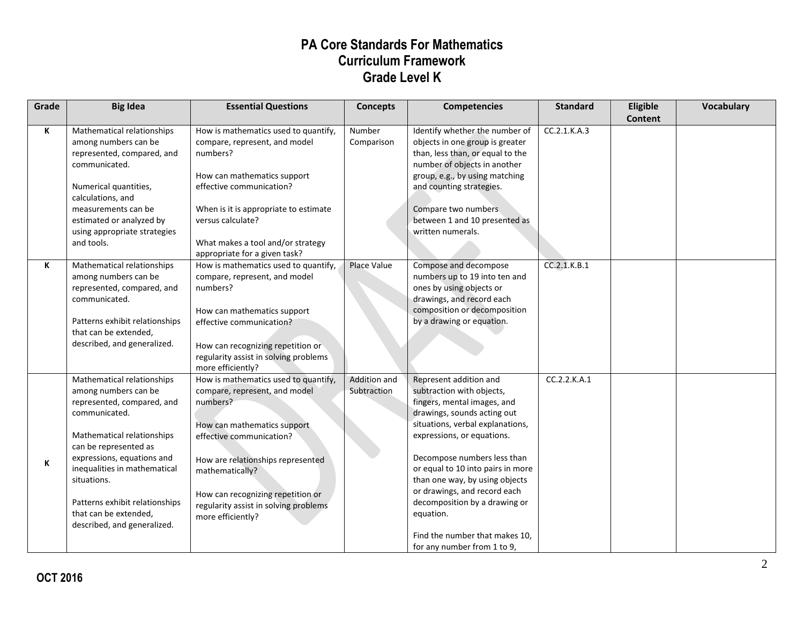| Grade | <b>Big Idea</b>                                                                                                                                                                                                                                                                                                                 | <b>Essential Questions</b>                                                                                                                                                                                                                                                                              | <b>Concepts</b>             | <b>Competencies</b>                                                                                                                                                                                                                                                                                                                                                                                                                      | <b>Standard</b> | Eligible<br>Content | Vocabulary |
|-------|---------------------------------------------------------------------------------------------------------------------------------------------------------------------------------------------------------------------------------------------------------------------------------------------------------------------------------|---------------------------------------------------------------------------------------------------------------------------------------------------------------------------------------------------------------------------------------------------------------------------------------------------------|-----------------------------|------------------------------------------------------------------------------------------------------------------------------------------------------------------------------------------------------------------------------------------------------------------------------------------------------------------------------------------------------------------------------------------------------------------------------------------|-----------------|---------------------|------------|
| K     | Mathematical relationships<br>among numbers can be<br>represented, compared, and<br>communicated.<br>Numerical quantities,<br>calculations, and<br>measurements can be<br>estimated or analyzed by<br>using appropriate strategies<br>and tools.                                                                                | How is mathematics used to quantify,<br>compare, represent, and model<br>numbers?<br>How can mathematics support<br>effective communication?<br>When is it is appropriate to estimate<br>versus calculate?<br>What makes a tool and/or strategy<br>appropriate for a given task?                        | Number<br>Comparison        | Identify whether the number of<br>objects in one group is greater<br>than, less than, or equal to the<br>number of objects in another<br>group, e.g., by using matching<br>and counting strategies.<br>Compare two numbers<br>between 1 and 10 presented as<br>written numerals.                                                                                                                                                         | CC.2.1.K.A.3    |                     |            |
| K     | Mathematical relationships<br>among numbers can be<br>represented, compared, and<br>communicated.<br>Patterns exhibit relationships<br>that can be extended,<br>described, and generalized.                                                                                                                                     | How is mathematics used to quantify,<br>compare, represent, and model<br>numbers?<br>How can mathematics support<br>effective communication?<br>How can recognizing repetition or<br>regularity assist in solving problems<br>more efficiently?                                                         | Place Value                 | Compose and decompose<br>numbers up to 19 into ten and<br>ones by using objects or<br>drawings, and record each<br>composition or decomposition<br>by a drawing or equation.                                                                                                                                                                                                                                                             | CC.2.1.K.B.1    |                     |            |
| К     | Mathematical relationships<br>among numbers can be<br>represented, compared, and<br>communicated.<br>Mathematical relationships<br>can be represented as<br>expressions, equations and<br>inequalities in mathematical<br>situations.<br>Patterns exhibit relationships<br>that can be extended,<br>described, and generalized. | How is mathematics used to quantify,<br>compare, represent, and model<br>numbers?<br>How can mathematics support<br>effective communication?<br>How are relationships represented<br>mathematically?<br>How can recognizing repetition or<br>regularity assist in solving problems<br>more efficiently? | Addition and<br>Subtraction | Represent addition and<br>subtraction with objects,<br>fingers, mental images, and<br>drawings, sounds acting out<br>situations, verbal explanations,<br>expressions, or equations.<br>Decompose numbers less than<br>or equal to 10 into pairs in more<br>than one way, by using objects<br>or drawings, and record each<br>decomposition by a drawing or<br>equation.<br>Find the number that makes 10,<br>for any number from 1 to 9, | CC.2.2.K.A.1    |                     |            |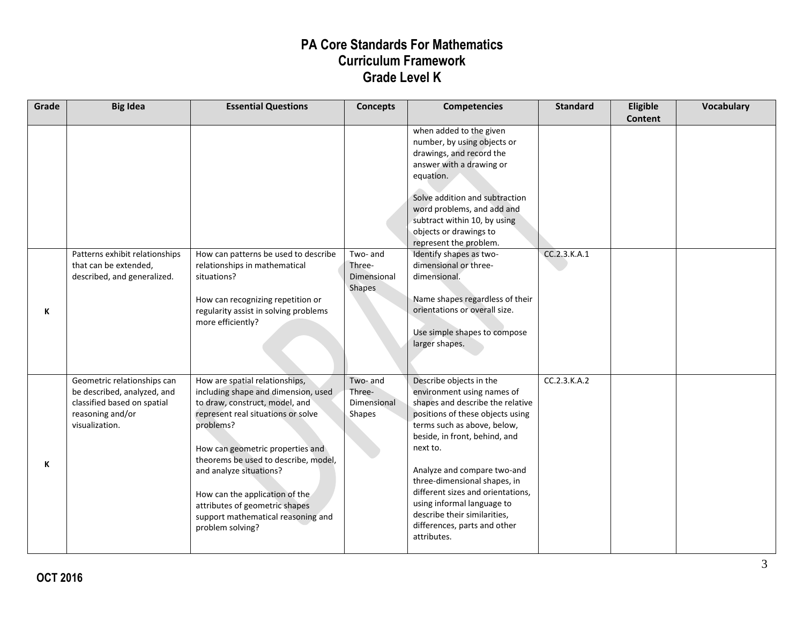| Grade | <b>Big Idea</b>                                                                                                                 | <b>Essential Questions</b>                                                                                                                                                                                                                                                                                                                                                                      | <b>Concepts</b>                                    | <b>Competencies</b>                                                                                                                                                                                                                                                                                                                                                                                                        | <b>Standard</b> | Eligible<br><b>Content</b> | <b>Vocabulary</b> |
|-------|---------------------------------------------------------------------------------------------------------------------------------|-------------------------------------------------------------------------------------------------------------------------------------------------------------------------------------------------------------------------------------------------------------------------------------------------------------------------------------------------------------------------------------------------|----------------------------------------------------|----------------------------------------------------------------------------------------------------------------------------------------------------------------------------------------------------------------------------------------------------------------------------------------------------------------------------------------------------------------------------------------------------------------------------|-----------------|----------------------------|-------------------|
|       |                                                                                                                                 |                                                                                                                                                                                                                                                                                                                                                                                                 |                                                    | when added to the given<br>number, by using objects or<br>drawings, and record the<br>answer with a drawing or<br>equation.<br>Solve addition and subtraction<br>word problems, and add and<br>subtract within 10, by using<br>objects or drawings to<br>represent the problem.                                                                                                                                            |                 |                            |                   |
| К     | Patterns exhibit relationships<br>that can be extended,<br>described, and generalized.                                          | How can patterns be used to describe<br>relationships in mathematical<br>situations?<br>How can recognizing repetition or<br>regularity assist in solving problems<br>more efficiently?                                                                                                                                                                                                         | Two- and<br>Three-<br>Dimensional<br>Shapes        | Identify shapes as two-<br>dimensional or three-<br>dimensional.<br>Name shapes regardless of their<br>orientations or overall size.<br>Use simple shapes to compose<br>larger shapes.                                                                                                                                                                                                                                     | CC.2.3.K.A.1    |                            |                   |
| К     | Geometric relationships can<br>be described, analyzed, and<br>classified based on spatial<br>reasoning and/or<br>visualization. | How are spatial relationships,<br>including shape and dimension, used<br>to draw, construct, model, and<br>represent real situations or solve<br>problems?<br>How can geometric properties and<br>theorems be used to describe, model,<br>and analyze situations?<br>How can the application of the<br>attributes of geometric shapes<br>support mathematical reasoning and<br>problem solving? | Two- and<br>Three-<br><b>Dimensional</b><br>Shapes | Describe objects in the<br>environment using names of<br>shapes and describe the relative<br>positions of these objects using<br>terms such as above, below,<br>beside, in front, behind, and<br>next to.<br>Analyze and compare two-and<br>three-dimensional shapes, in<br>different sizes and orientations,<br>using informal language to<br>describe their similarities,<br>differences, parts and other<br>attributes. | CC.2.3.K.A.2    |                            |                   |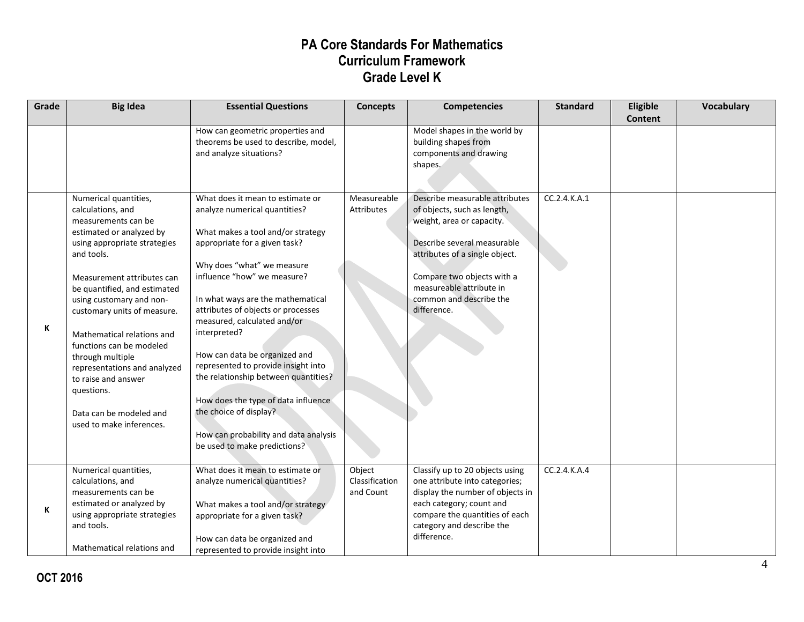| Grade | <b>Big Idea</b>                                                                                                                                                                                                                                                                                                                                                                                                                                                                | <b>Essential Questions</b>                                                                                                                                                                                                                                                                                                                                                                                                                                                                                                                                                               | <b>Concepts</b>                       | <b>Competencies</b>                                                                                                                                                                                                                                             | <b>Standard</b> | Eligible<br><b>Content</b> | Vocabulary |
|-------|--------------------------------------------------------------------------------------------------------------------------------------------------------------------------------------------------------------------------------------------------------------------------------------------------------------------------------------------------------------------------------------------------------------------------------------------------------------------------------|------------------------------------------------------------------------------------------------------------------------------------------------------------------------------------------------------------------------------------------------------------------------------------------------------------------------------------------------------------------------------------------------------------------------------------------------------------------------------------------------------------------------------------------------------------------------------------------|---------------------------------------|-----------------------------------------------------------------------------------------------------------------------------------------------------------------------------------------------------------------------------------------------------------------|-----------------|----------------------------|------------|
|       |                                                                                                                                                                                                                                                                                                                                                                                                                                                                                | How can geometric properties and<br>theorems be used to describe, model,<br>and analyze situations?                                                                                                                                                                                                                                                                                                                                                                                                                                                                                      |                                       | Model shapes in the world by<br>building shapes from<br>components and drawing<br>shapes.                                                                                                                                                                       |                 |                            |            |
| K     | Numerical quantities,<br>calculations, and<br>measurements can be<br>estimated or analyzed by<br>using appropriate strategies<br>and tools.<br>Measurement attributes can<br>be quantified, and estimated<br>using customary and non-<br>customary units of measure.<br>Mathematical relations and<br>functions can be modeled<br>through multiple<br>representations and analyzed<br>to raise and answer<br>questions.<br>Data can be modeled and<br>used to make inferences. | What does it mean to estimate or<br>analyze numerical quantities?<br>What makes a tool and/or strategy<br>appropriate for a given task?<br>Why does "what" we measure<br>influence "how" we measure?<br>In what ways are the mathematical<br>attributes of objects or processes<br>measured, calculated and/or<br>interpreted?<br>How can data be organized and<br>represented to provide insight into<br>the relationship between quantities?<br>How does the type of data influence<br>the choice of display?<br>How can probability and data analysis<br>be used to make predictions? | Measureable<br>Attributes             | Describe measurable attributes<br>of objects, such as length,<br>weight, area or capacity.<br>Describe several measurable<br>attributes of a single object.<br>Compare two objects with a<br>measureable attribute in<br>common and describe the<br>difference. | CC.2.4.K.A.1    |                            |            |
| K     | Numerical quantities,<br>calculations, and<br>measurements can be<br>estimated or analyzed by<br>using appropriate strategies<br>and tools.<br>Mathematical relations and                                                                                                                                                                                                                                                                                                      | What does it mean to estimate or<br>analyze numerical quantities?<br>What makes a tool and/or strategy<br>appropriate for a given task?<br>How can data be organized and<br>represented to provide insight into                                                                                                                                                                                                                                                                                                                                                                          | Object<br>Classification<br>and Count | Classify up to 20 objects using<br>one attribute into categories;<br>display the number of objects in<br>each category; count and<br>compare the quantities of each<br>category and describe the<br>difference.                                                 | CC.2.4.K.A.4    |                            |            |